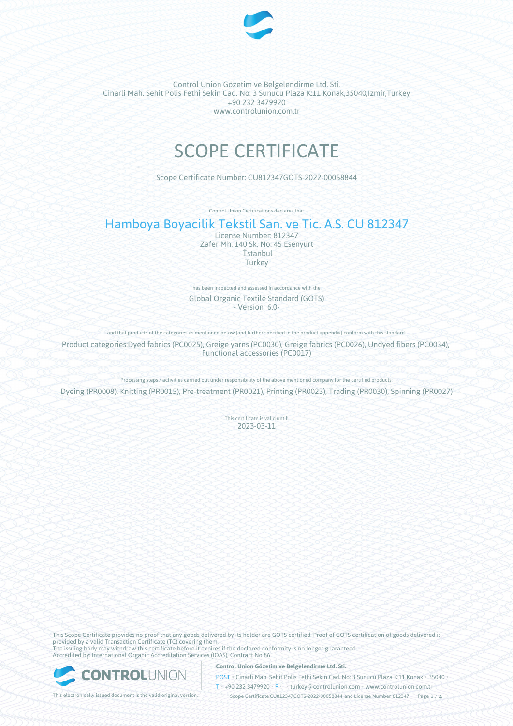

Control Union Gözetim ve Belgelendirme Ltd. Sti. Cinarli Mah. Sehit Polis Fethi Sekin Cad. No: 3 Sunucu Plaza K:11 Konak,35040,Izmir,Turkey +90 232 3479920 www.controlunion.com.tr

# SCOPE CERTIFICATE

Scope Certificate Number: CU812347GOTS-2022-00058844

Control Union Certifications declares that

# Hamboya Boyacilik Tekstil San. ve Tic. A.S. CU 812347

License Number: 812347 Zafer Mh. 140 Sk. No: 45 Esenyurt İstanbul Turkey

has been inspected and assessed in accordance with the Global Organic Textile Standard (GOTS) - Version 6.0-

and that products of the categories as mentioned below (and further specified in the product appendix) conform with this standard.

Product categories:Dyed fabrics (PC0025), Greige yarns (PC0030), Greige fabrics (PC0026), Undyed fibers (PC0034), Functional accessories (PC0017)

Processing steps / activities carried out under responsibility of the above mentioned company for the certified products:

Dyeing (PR0008), Knitting (PR0015), Pre-treatment (PR0021), Printing (PR0023), Trading (PR0030), Spinning (PR0027)

This certificate is valid until: 2023-03-11

This Scope Certificate provides no proof that any goods delivered by its holder are GOTS certified. Proof of GOTS certification of goods delivered is provided by a valid Transaction Certificate (TC) covering them. The issuing body may withdraw this certificate before it expires if the declared conformity is no longer guaranteed. Accredited by: International Organic Accreditation Services (IOAS); Contract No 86



**Control Union Gözetim ve Belgelendirme Ltd. Sti.**

POST • Cinarli Mah. Sehit Polis Fethi Sekin Cad. No: 3 Sunucu Plaza K:11 Konak • 35040 • T • +90 232 3479920 • F • turkey@controlunion.com • www.controlunion.com.tr

This electronically issued document is the valid original version. This scope Certificate CU812347GOTS-2022-00058844 and License Number 812347 Page 1 / 4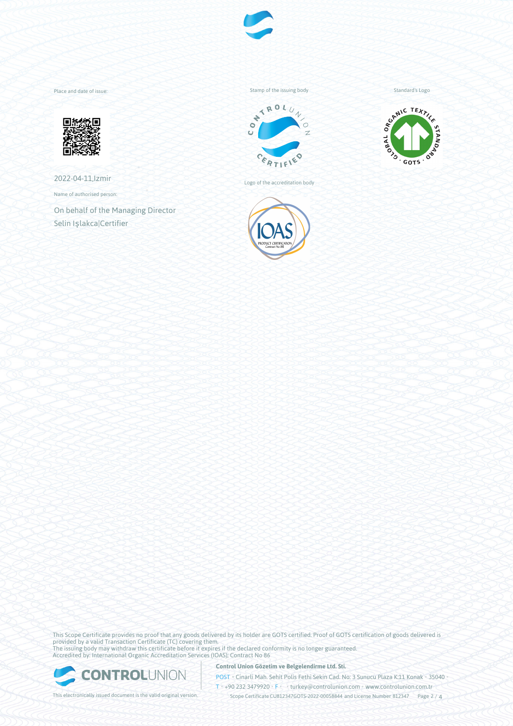

Place and date of issue:



2022-04-11,Izmir

Name of authorised person:

On behalf of the Managing Director Selin Işlakca|Certifier

Stamp of the issuing body



Logo of the accreditation body



Standard's Logo



This Scope Certificate provides no proof that any goods delivered by its holder are GOTS certified. Proof of GOTS certification of goods delivered is provided by a valid Transaction Certificate (TC) covering them. The issuing body may withdraw this certificate before it expires if the declared conformity is no longer guaranteed. Accredited by: International Organic Accreditation Services (IOAS); Contract No 86



**Control Union Gözetim ve Belgelendirme Ltd. Sti.**

POST • Cinarli Mah. Sehit Polis Fethi Sekin Cad. No: 3 Sunucu Plaza K:11 Konak • 35040 • T • +90 232 3479920 • F • • turkey@controlunion.com • www.controlunion.com.tr

This electronically issued document is the valid original version. This scope Certificate CU812347GOTS-2022-00058844 and License Number 812347 Page 2 / 4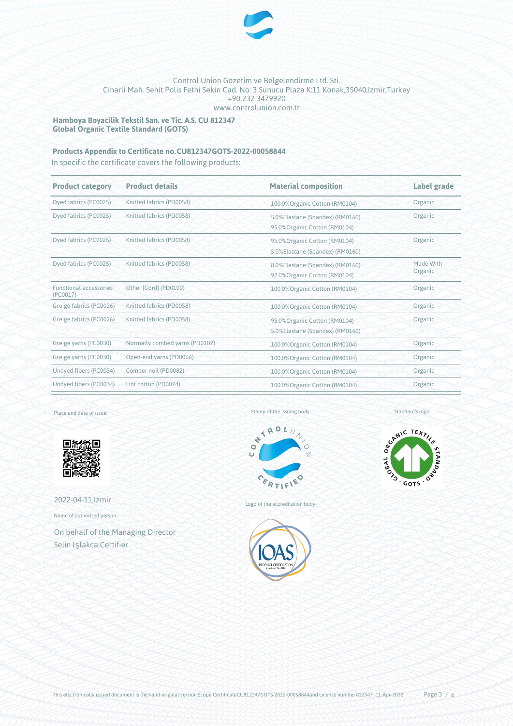

# Control Union Gözetim ve Belgelendirme Ltd. Sti. Cinarli Mah. Sehit Polis Fethi Sekin Cad. No: 3 Sunucu Plaza K:11 Konak,35040,Izmir,Turkey +90 232 3479920 www.controlunion.com.tr

**Hamboya Boyacilik Tekstil San. ve Tic. A.S. CU 812347 Global Organic Textile Standard (GOTS)**

# **Products Appendix to Certificate no.CU812347GOTS-2022-00058844**

In specific the certificate covers the following products:

| <b>Product category</b>                   | <b>Product details</b>         | <b>Material composition</b>                                                 | Label grade          |
|-------------------------------------------|--------------------------------|-----------------------------------------------------------------------------|----------------------|
| Dyed fabrics (PC0025)                     | Knitted fabrics (PD0058)       | 100.0% Organic Cotton (RM0104)                                              | Organic              |
| Dyed fabrics (PC0025)                     | Knitted fabrics (PD0058)       | 5.0%Elastane (Spandex) (RM0160)<br>95.0% Organic Cotton (RM0104)            | Organic              |
| Dyed fabrics (PC0025)                     | Knitted fabrics (PD0058)       | 95.0%Organic Cotton (RM0104)<br>5.0%Elastane (Spandex) (RM0160)             | Organic              |
| Dyed fabrics (PC0025)                     | Knitted fabrics (PD0058)       | 8.0%Elastane (Spandex) (RM0160)<br>92.0%Organic Cotton (RM0104)             | Made With<br>Organic |
| <b>Functional accessories</b><br>(PC0017) | Other [Cord] (PD0100)          | 100.0% Organic Cotton (RM0104)                                              | Organic              |
| Greige fabrics (PC0026)                   | Knitted fabrics (PD0058)       | 100.0% Organic Cotton (RM0104)                                              | Organic              |
| Greige fabrics (PC0026)                   | Knitted fabrics (PD0058)       | Organic<br>95.0% Organic Cotton (RM0104)<br>5.0%Elastane (Spandex) (RM0160) |                      |
| Greige yarns (PC0030)                     | Normally combed yarns (PD0102) | 100.0%Organic Cotton (RM0104)                                               | Organic              |
| Greige yarns (PC0030)                     | Open-end yarns (PD0066)        | 100.0% Organic Cotton (RM0104)                                              | Organic              |
| Undyed fibers (PC0034)                    | Comber noil (PD0082)           | 100.0% Organic Cotton (RM0104)                                              | Organic              |
| Undyed fibers (PC0034)                    | Lint cotton (PD0074)           | 100.0% Organic Cotton (RM0104)                                              | Organic              |
|                                           |                                |                                                                             |                      |

Place and date of issue:



2022-04-11,Izmir

Name of authorised person:

On behalf of the Managing Director Selin Işlakca|Certifier

Stamp of the issuing body



Logo of the accreditation body



Standard's logo